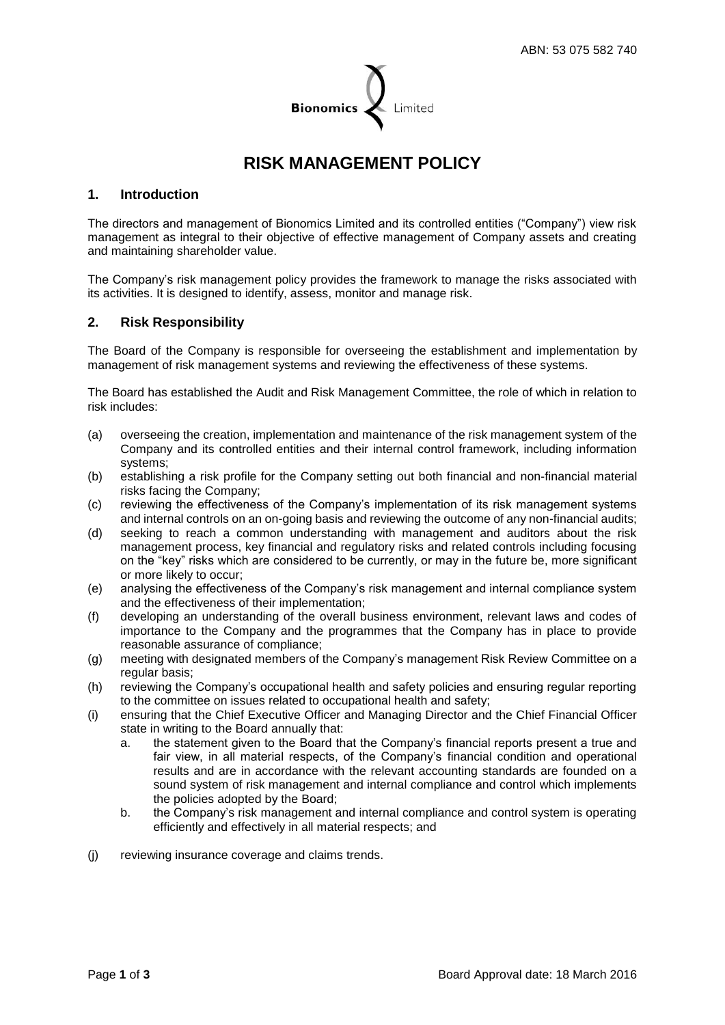

# **RISK MANAGEMENT POLICY**

# **1. Introduction**

The directors and management of Bionomics Limited and its controlled entities ("Company") view risk management as integral to their objective of effective management of Company assets and creating and maintaining shareholder value.

The Company's risk management policy provides the framework to manage the risks associated with its activities. It is designed to identify, assess, monitor and manage risk.

# **2. Risk Responsibility**

The Board of the Company is responsible for overseeing the establishment and implementation by management of risk management systems and reviewing the effectiveness of these systems.

The Board has established the Audit and Risk Management Committee, the role of which in relation to risk includes:

- (a) overseeing the creation, implementation and maintenance of the risk management system of the Company and its controlled entities and their internal control framework, including information systems;
- (b) establishing a risk profile for the Company setting out both financial and non-financial material risks facing the Company;
- (c) reviewing the effectiveness of the Company's implementation of its risk management systems and internal controls on an on-going basis and reviewing the outcome of any non-financial audits;
- (d) seeking to reach a common understanding with management and auditors about the risk management process, key financial and regulatory risks and related controls including focusing on the "key" risks which are considered to be currently, or may in the future be, more significant or more likely to occur;
- (e) analysing the effectiveness of the Company's risk management and internal compliance system and the effectiveness of their implementation;
- (f) developing an understanding of the overall business environment, relevant laws and codes of importance to the Company and the programmes that the Company has in place to provide reasonable assurance of compliance;
- (g) meeting with designated members of the Company's management Risk Review Committee on a regular basis;
- (h) reviewing the Company's occupational health and safety policies and ensuring regular reporting to the committee on issues related to occupational health and safety;
- (i) ensuring that the Chief Executive Officer and Managing Director and the Chief Financial Officer state in writing to the Board annually that:
	- a. the statement given to the Board that the Company's financial reports present a true and fair view, in all material respects, of the Company's financial condition and operational results and are in accordance with the relevant accounting standards are founded on a sound system of risk management and internal compliance and control which implements the policies adopted by the Board;
	- b. the Company's risk management and internal compliance and control system is operating efficiently and effectively in all material respects; and
- (j) reviewing insurance coverage and claims trends.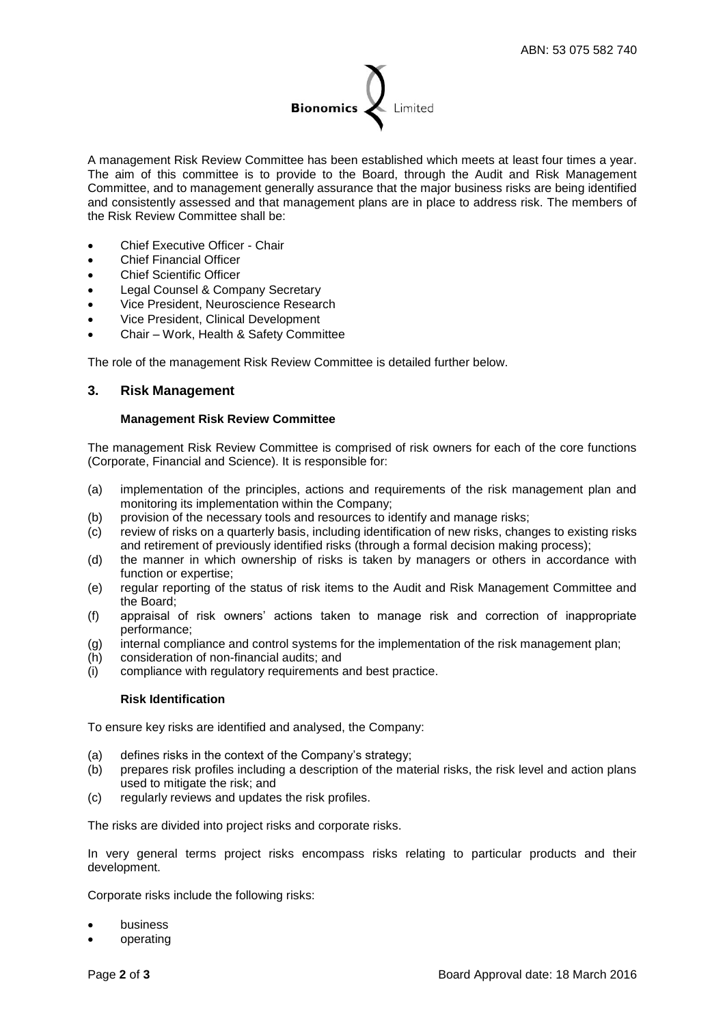

A management Risk Review Committee has been established which meets at least four times a year. The aim of this committee is to provide to the Board, through the Audit and Risk Management Committee, and to management generally assurance that the major business risks are being identified and consistently assessed and that management plans are in place to address risk. The members of the Risk Review Committee shall be:

- Chief Executive Officer Chair
- Chief Financial Officer
- Chief Scientific Officer
- Legal Counsel & Company Secretary
- Vice President, Neuroscience Research
- Vice President, Clinical Development
- Chair Work, Health & Safety Committee

The role of the management Risk Review Committee is detailed further below.

## **3. Risk Management**

#### **Management Risk Review Committee**

The management Risk Review Committee is comprised of risk owners for each of the core functions (Corporate, Financial and Science). It is responsible for:

- (a) implementation of the principles, actions and requirements of the risk management plan and monitoring its implementation within the Company;
- (b) provision of the necessary tools and resources to identify and manage risks;
- (c) review of risks on a quarterly basis, including identification of new risks, changes to existing risks and retirement of previously identified risks (through a formal decision making process);
- (d) the manner in which ownership of risks is taken by managers or others in accordance with function or expertise;
- (e) regular reporting of the status of risk items to the Audit and Risk Management Committee and the Board;
- (f) appraisal of risk owners' actions taken to manage risk and correction of inappropriate performance;
- (g) internal compliance and control systems for the implementation of the risk management plan;
- (h) consideration of non-financial audits; and
- (i) compliance with regulatory requirements and best practice.

#### **Risk Identification**

To ensure key risks are identified and analysed, the Company:

- (a) defines risks in the context of the Company's strategy;
- (b) prepares risk profiles including a description of the material risks, the risk level and action plans used to mitigate the risk; and
- (c) regularly reviews and updates the risk profiles.

The risks are divided into project risks and corporate risks.

In very general terms project risks encompass risks relating to particular products and their development.

Corporate risks include the following risks:

- business
- operating